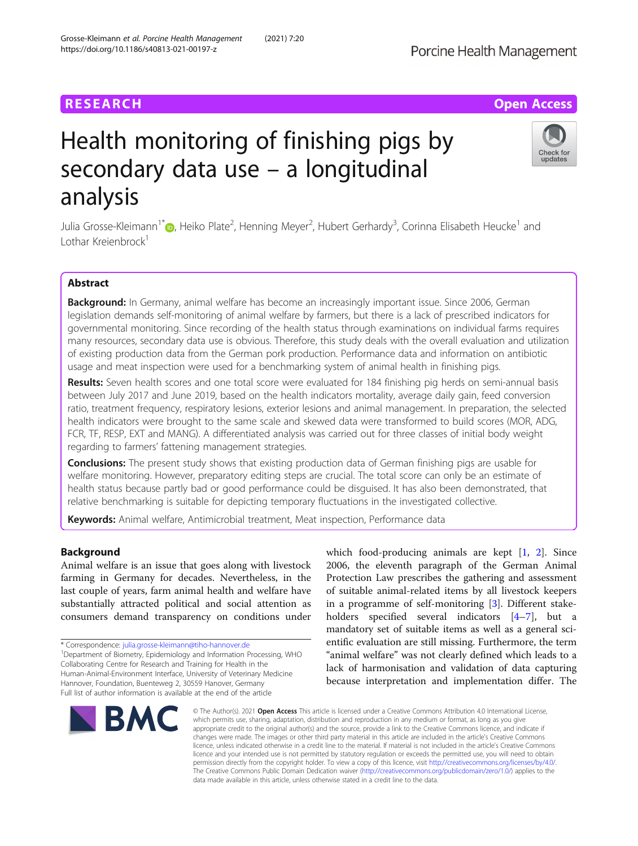# **RESEARCH CHE Open Access**

# Health monitoring of finishing pigs by secondary data use – a longitudinal analysis

Julia Grosse-Kleimann<sup>1\*</sup>®[,](http://orcid.org/0000-0002-3943-4418) Heiko Plate<sup>2</sup>, Henning Meyer<sup>2</sup>, Hubert Gerhardy<sup>3</sup>, Corinna Elisabeth Heucke<sup>1</sup> and Lothar Kreienbrock<sup>1</sup>

# Abstract

Background: In Germany, animal welfare has become an increasingly important issue. Since 2006, German legislation demands self-monitoring of animal welfare by farmers, but there is a lack of prescribed indicators for governmental monitoring. Since recording of the health status through examinations on individual farms requires many resources, secondary data use is obvious. Therefore, this study deals with the overall evaluation and utilization of existing production data from the German pork production. Performance data and information on antibiotic usage and meat inspection were used for a benchmarking system of animal health in finishing pigs.

Results: Seven health scores and one total score were evaluated for 184 finishing pig herds on semi-annual basis between July 2017 and June 2019, based on the health indicators mortality, average daily gain, feed conversion ratio, treatment frequency, respiratory lesions, exterior lesions and animal management. In preparation, the selected health indicators were brought to the same scale and skewed data were transformed to build scores (MOR, ADG, FCR, TF, RESP, EXT and MANG). A differentiated analysis was carried out for three classes of initial body weight regarding to farmers' fattening management strategies.

Conclusions: The present study shows that existing production data of German finishing pigs are usable for welfare monitoring. However, preparatory editing steps are crucial. The total score can only be an estimate of health status because partly bad or good performance could be disguised. It has also been demonstrated, that relative benchmarking is suitable for depicting temporary fluctuations in the investigated collective.

Keywords: Animal welfare, Antimicrobial treatment, Meat inspection, Performance data

# Background

Animal welfare is an issue that goes along with livestock farming in Germany for decades. Nevertheless, in the last couple of years, farm animal health and welfare have substantially attracted political and social attention as consumers demand transparency on conditions under

\* Correspondence: [julia.grosse-kleimann@tiho-hannover.de](mailto:julia.grosse-kleimann@tiho-hannover.de) <sup>1</sup>

<sup>1</sup>Department of Biometry, Epidemiology and Information Processing, WHO Collaborating Centre for Research and Training for Health in the Human-Animal-Environment Interface, University of Veterinary Medicine Hannover, Foundation, Buenteweg 2, 30559 Hanover, Germany Full list of author information is available at the end of the article

# Grosse-Kleimann et al. Porcine Health Management (2021) 7:20 https://doi.org/10.1186/s40813-021-00197-z

**BMC** 

© The Author(s), 2021 **Open Access** This article is licensed under a Creative Commons Attribution 4.0 International License, which permits use, sharing, adaptation, distribution and reproduction in any medium or format, as long as you give appropriate credit to the original author(s) and the source, provide a link to the Creative Commons licence, and indicate if changes were made. The images or other third party material in this article are included in the article's Creative Commons licence, unless indicated otherwise in a credit line to the material. If material is not included in the article's Creative Commons licence and your intended use is not permitted by statutory regulation or exceeds the permitted use, you will need to obtain permission directly from the copyright holder. To view a copy of this licence, visit [http://creativecommons.org/licenses/by/4.0/.](http://creativecommons.org/licenses/by/4.0/) The Creative Commons Public Domain Dedication waiver [\(http://creativecommons.org/publicdomain/zero/1.0/](http://creativecommons.org/publicdomain/zero/1.0/)) applies to the data made available in this article, unless otherwise stated in a credit line to the data.

which food-producing animals are kept [\[1](#page-11-0), [2](#page-11-0)]. Since 2006, the eleventh paragraph of the German Animal Protection Law prescribes the gathering and assessment of suitable animal-related items by all livestock keepers in a programme of self-monitoring [\[3](#page-11-0)]. Different stakeholders specified several indicators [\[4](#page-11-0)–[7\]](#page-11-0), but a mandatory set of suitable items as well as a general scientific evaluation are still missing. Furthermore, the term "animal welfare" was not clearly defined which leads to a lack of harmonisation and validation of data capturing because interpretation and implementation differ. The



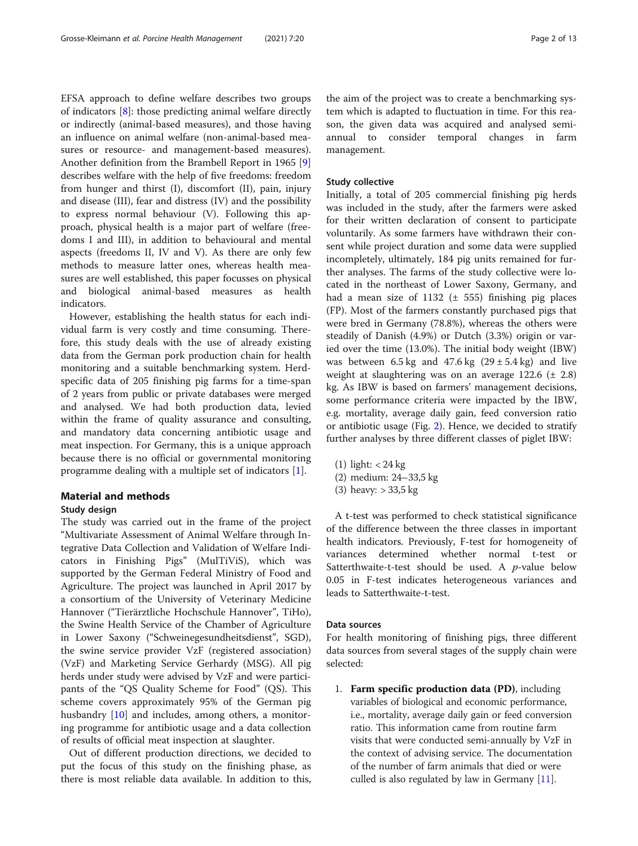EFSA approach to define welfare describes two groups of indicators [\[8](#page-11-0)]: those predicting animal welfare directly or indirectly (animal-based measures), and those having an influence on animal welfare (non-animal-based measures or resource- and management-based measures). Another definition from the Brambell Report in 1965 [\[9](#page-11-0)] describes welfare with the help of five freedoms: freedom from hunger and thirst (I), discomfort (II), pain, injury and disease (III), fear and distress (IV) and the possibility to express normal behaviour (V). Following this approach, physical health is a major part of welfare (freedoms I and III), in addition to behavioural and mental aspects (freedoms II, IV and V). As there are only few methods to measure latter ones, whereas health measures are well established, this paper focusses on physical and biological animal-based measures as health indicators.

However, establishing the health status for each individual farm is very costly and time consuming. Therefore, this study deals with the use of already existing data from the German pork production chain for health monitoring and a suitable benchmarking system. Herdspecific data of 205 finishing pig farms for a time-span of 2 years from public or private databases were merged and analysed. We had both production data, levied within the frame of quality assurance and consulting, and mandatory data concerning antibiotic usage and meat inspection. For Germany, this is a unique approach because there is no official or governmental monitoring programme dealing with a multiple set of indicators [\[1\]](#page-11-0).

# Material and methods

# Study design

The study was carried out in the frame of the project "Multivariate Assessment of Animal Welfare through Integrative Data Collection and Validation of Welfare Indicators in Finishing Pigs" (MulTiViS), which was supported by the German Federal Ministry of Food and Agriculture. The project was launched in April 2017 by a consortium of the University of Veterinary Medicine Hannover ("Tierärztliche Hochschule Hannover", TiHo), the Swine Health Service of the Chamber of Agriculture in Lower Saxony ("Schweinegesundheitsdienst", SGD), the swine service provider VzF (registered association) (VzF) and Marketing Service Gerhardy (MSG). All pig herds under study were advised by VzF and were participants of the "QS Quality Scheme for Food" (QS). This scheme covers approximately 95% of the German pig husbandry [\[10](#page-11-0)] and includes, among others, a monitoring programme for antibiotic usage and a data collection of results of official meat inspection at slaughter.

Out of different production directions, we decided to put the focus of this study on the finishing phase, as there is most reliable data available. In addition to this,

the aim of the project was to create a benchmarking system which is adapted to fluctuation in time. For this reason, the given data was acquired and analysed semiannual to consider temporal changes in farm management.

#### Study collective

Initially, a total of 205 commercial finishing pig herds was included in the study, after the farmers were asked for their written declaration of consent to participate voluntarily. As some farmers have withdrawn their consent while project duration and some data were supplied incompletely, ultimately, 184 pig units remained for further analyses. The farms of the study collective were located in the northeast of Lower Saxony, Germany, and had a mean size of 1132 (± 555) finishing pig places (FP). Most of the farmers constantly purchased pigs that were bred in Germany (78.8%), whereas the others were steadily of Danish (4.9%) or Dutch (3.3%) origin or varied over the time (13.0%). The initial body weight (IBW) was between  $6.5 \text{ kg}$  and  $47.6 \text{ kg}$   $(29 \pm 5.4 \text{ kg})$  and live weight at slaughtering was on an average  $122.6 \pm 2.8$ ) kg. As IBW is based on farmers' management decisions, some performance criteria were impacted by the IBW, e.g. mortality, average daily gain, feed conversion ratio or antibiotic usage (Fig. [2](#page-5-0)). Hence, we decided to stratify further analyses by three different classes of piglet IBW:

- (1) light: < 24 kg
- (2) medium: 24–33,5 kg
- (3) heavy: > 33,5 kg

A t-test was performed to check statistical significance of the difference between the three classes in important health indicators. Previously, F-test for homogeneity of variances determined whether normal t-test or Satterthwaite-t-test should be used. A  $p$ -value below 0.05 in F-test indicates heterogeneous variances and leads to Satterthwaite-t-test.

#### Data sources

For health monitoring of finishing pigs, three different data sources from several stages of the supply chain were selected:

1. Farm specific production data (PD), including variables of biological and economic performance, i.e., mortality, average daily gain or feed conversion ratio. This information came from routine farm visits that were conducted semi-annually by VzF in the context of advising service. The documentation of the number of farm animals that died or were culled is also regulated by law in Germany [[11](#page-11-0)].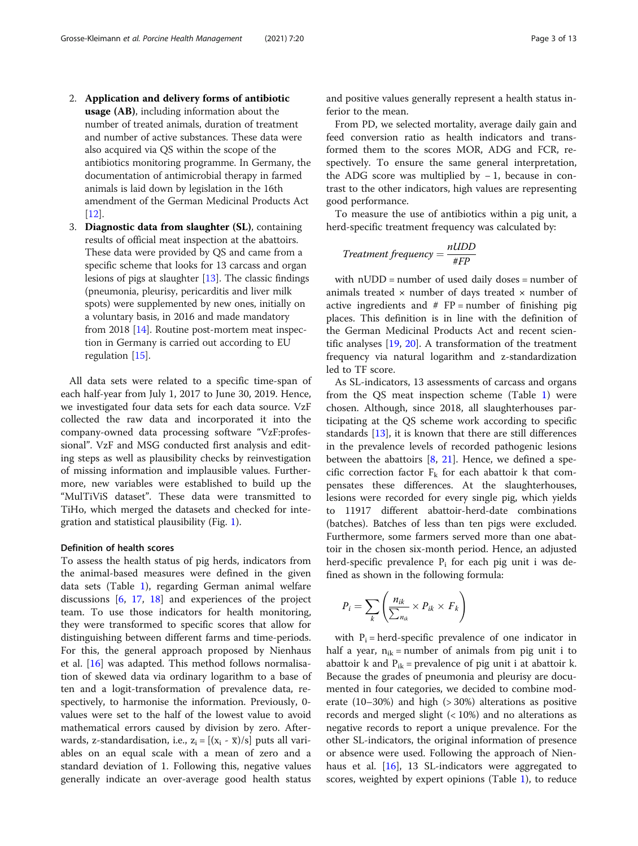- 2. Application and delivery forms of antibiotic usage (AB), including information about the number of treated animals, duration of treatment and number of active substances. These data were also acquired via QS within the scope of the antibiotics monitoring programme. In Germany, the documentation of antimicrobial therapy in farmed animals is laid down by legislation in the 16th amendment of the German Medicinal Products Act [\[12](#page-11-0)].
- 3. Diagnostic data from slaughter (SL), containing results of official meat inspection at the abattoirs. These data were provided by QS and came from a specific scheme that looks for 13 carcass and organ lesions of pigs at slaughter  $[13]$  $[13]$  $[13]$ . The classic findings (pneumonia, pleurisy, pericarditis and liver milk spots) were supplemented by new ones, initially on a voluntary basis, in 2016 and made mandatory from 2018 [\[14\]](#page-11-0). Routine post-mortem meat inspection in Germany is carried out according to EU regulation [[15](#page-11-0)].

All data sets were related to a specific time-span of each half-year from July 1, 2017 to June 30, 2019. Hence, we investigated four data sets for each data source. VzF collected the raw data and incorporated it into the company-owned data processing software "VzF:professional". VzF and MSG conducted first analysis and editing steps as well as plausibility checks by reinvestigation of missing information and implausible values. Furthermore, new variables were established to build up the "MulTiViS dataset". These data were transmitted to TiHo, which merged the datasets and checked for integration and statistical plausibility (Fig. [1](#page-3-0)).

# Definition of health scores

To assess the health status of pig herds, indicators from the animal-based measures were defined in the given data sets (Table [1\)](#page-4-0), regarding German animal welfare discussions [[6,](#page-11-0) [17,](#page-12-0) [18\]](#page-12-0) and experiences of the project team. To use those indicators for health monitoring, they were transformed to specific scores that allow for distinguishing between different farms and time-periods. For this, the general approach proposed by Nienhaus et al. [[16\]](#page-12-0) was adapted. This method follows normalisation of skewed data via ordinary logarithm to a base of ten and a logit-transformation of prevalence data, respectively, to harmonise the information. Previously, 0 values were set to the half of the lowest value to avoid mathematical errors caused by division by zero. Afterwards, z-standardisation, i.e.,  $z_i = [(x_i - \overline{x})/s]$  puts all variables on an equal scale with a mean of zero and a standard deviation of 1. Following this, negative values generally indicate an over-average good health status ferior to the mean. From PD, we selected mortality, average daily gain and feed conversion ratio as health indicators and transformed them to the scores MOR, ADG and FCR, respectively. To ensure the same general interpretation, the ADG score was multiplied by  $-1$ , because in contrast to the other indicators, high values are representing good performance.

To measure the use of antibiotics within a pig unit, a herd-specific treatment frequency was calculated by:

$$
Treatment frequency = \frac{nUDD}{\#FP}
$$

with nUDD = number of used daily doses = number of animals treated  $\times$  number of days treated  $\times$  number of active ingredients and  $# FP = number of finishing pig$ places. This definition is in line with the definition of the German Medicinal Products Act and recent scientific analyses [\[19,](#page-12-0) [20](#page-12-0)]. A transformation of the treatment frequency via natural logarithm and z-standardization led to TF score.

As SL-indicators, 13 assessments of carcass and organs from the QS meat inspection scheme (Table [1\)](#page-4-0) were chosen. Although, since 2018, all slaughterhouses participating at the QS scheme work according to specific standards [\[13\]](#page-11-0), it is known that there are still differences in the prevalence levels of recorded pathogenic lesions between the abattoirs  $[8, 21]$  $[8, 21]$  $[8, 21]$  $[8, 21]$ . Hence, we defined a specific correction factor  $F_k$  for each abattoir k that compensates these differences. At the slaughterhouses, lesions were recorded for every single pig, which yields to 11917 different abattoir-herd-date combinations (batches). Batches of less than ten pigs were excluded. Furthermore, some farmers served more than one abattoir in the chosen six-month period. Hence, an adjusted herd-specific prevalence  $P_i$  for each pig unit i was defined as shown in the following formula:

$$
P_i = \sum_k \left( \frac{n_{ik}}{\sum_{n_{ik}}} \times P_{ik} \times F_k \right)
$$

with  $P_i$  = herd-specific prevalence of one indicator in half a year,  $n_{ik}$  = number of animals from pig unit i to abattoir k and  $P_{ik}$  = prevalence of pig unit i at abattoir k. Because the grades of pneumonia and pleurisy are documented in four categories, we decided to combine moderate (10–30%) and high (> 30%) alterations as positive records and merged slight (< 10%) and no alterations as negative records to report a unique prevalence. For the other SL-indicators, the original information of presence or absence were used. Following the approach of Nienhaus et al. [\[16\]](#page-12-0), 13 SL-indicators were aggregated to scores, weighted by expert opinions (Table [1\)](#page-4-0), to reduce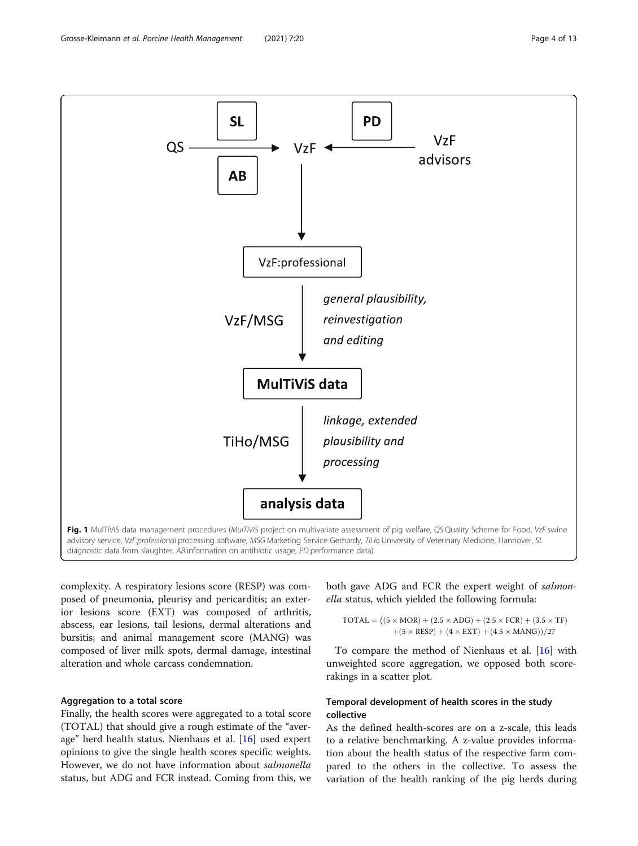<span id="page-3-0"></span>

complexity. A respiratory lesions score (RESP) was composed of pneumonia, pleurisy and pericarditis; an exterior lesions score (EXT) was composed of arthritis, abscess, ear lesions, tail lesions, dermal alterations and bursitis; and animal management score (MANG) was composed of liver milk spots, dermal damage, intestinal alteration and whole carcass condemnation.

# Aggregation to a total score

Finally, the health scores were aggregated to a total score (TOTAL) that should give a rough estimate of the "average" herd health status. Nienhaus et al. [\[16](#page-12-0)] used expert opinions to give the single health scores specific weights. However, we do not have information about salmonella status, but ADG and FCR instead. Coming from this, we

both gave ADG and FCR the expert weight of salmonella status, which yielded the following formula:

 $\text{TOTAL} = ((5 \times \text{MOR}) + (2.5 \times \text{ADG}) + (2.5 \times \text{FCR}) + (3.5 \times \text{TF})$  $+(5 \times \text{RESP}) + (4 \times \text{EXT}) + (4.5 \times \text{MANG}))/27$ 

To compare the method of Nienhaus et al. [[16](#page-12-0)] with unweighted score aggregation, we opposed both scorerakings in a scatter plot.

# Temporal development of health scores in the study collective

As the defined health-scores are on a z-scale, this leads to a relative benchmarking. A z-value provides information about the health status of the respective farm compared to the others in the collective. To assess the variation of the health ranking of the pig herds during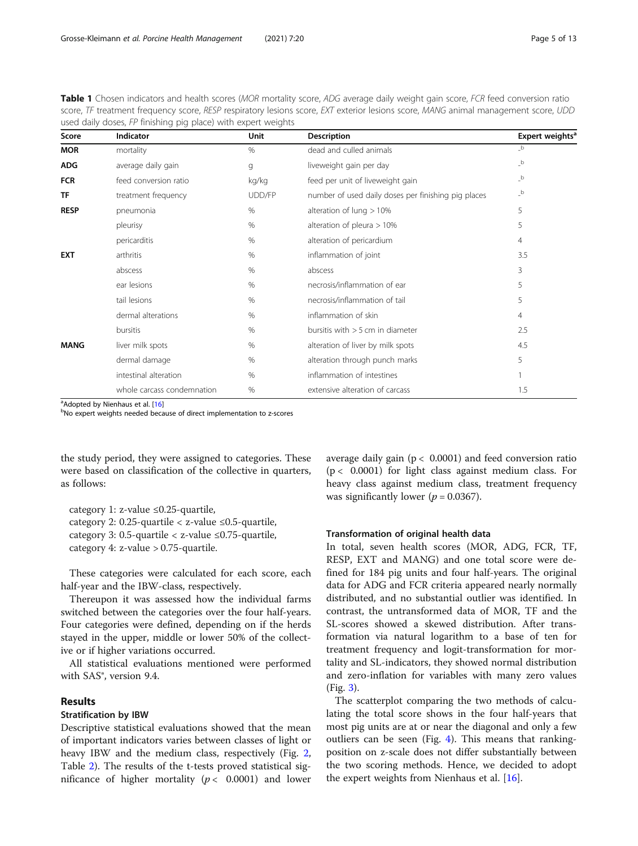<span id="page-4-0"></span>Table 1 Chosen indicators and health scores (MOR mortality score, ADG average daily weight gain score, FCR feed conversion ratio score, TF treatment frequency score, RESP respiratory lesions score, EXT exterior lesions score, MANG animal management score, UDD used daily doses, FP finishing pig place) with expert weights

| Score       | <b>Indicator</b>           | <b>Unit</b> | <b>Description</b>                                  | Expert weights <sup>a</sup>            |
|-------------|----------------------------|-------------|-----------------------------------------------------|----------------------------------------|
| <b>MOR</b>  | mortality                  | $\%$        | dead and culled animals                             | $_b$                                   |
| <b>ADG</b>  | average daily gain         | g           | liveweight gain per day                             | $\overline{\phantom{a}}^{\phantom{a}}$ |
| <b>FCR</b>  | feed conversion ratio      | kg/kg       | feed per unit of liveweight gain                    | $_b$                                   |
| <b>TF</b>   | treatment frequency        | UDD/FP      | number of used daily doses per finishing pig places | $\overline{\phantom{a}}^{\phantom{a}}$ |
| <b>RESP</b> | pneumonia                  | $\%$        | alteration of lung $>10\%$                          | 5                                      |
|             | pleurisy                   | $\%$        | alteration of pleura $>10\%$                        | 5                                      |
|             | pericarditis               | $\%$        | alteration of pericardium                           | $\overline{4}$                         |
| <b>EXT</b>  | arthritis                  | $\%$        | inflammation of joint                               | 3.5                                    |
|             | abscess                    | %           | abscess                                             | 3                                      |
|             | ear lesions                | %           | necrosis/inflammation of ear                        | 5                                      |
|             | tail lesions               | %           | necrosis/inflammation of tail                       | 5                                      |
|             | dermal alterations         | $\%$        | inflammation of skin                                | $\overline{4}$                         |
|             | bursitis                   | $\%$        | bursitis with $>$ 5 cm in diameter                  | 2.5                                    |
| <b>MANG</b> | liver milk spots           | %           | alteration of liver by milk spots                   | 4.5                                    |
|             | dermal damage              | %           | alteration through punch marks                      | 5                                      |
|             | intestinal alteration      | $\%$        | inflammation of intestines                          |                                        |
|             | whole carcass condemnation | $\%$        | extensive alteration of carcass                     | 1.5                                    |

<sup>a</sup> Adopted by Nienhaus et al. [\[16](#page-12-0)]<br><sup>b</sup>No expert weights peeded beca

bNo expert weights needed because of direct implementation to z-scores

the study period, they were assigned to categories. These were based on classification of the collective in quarters, as follows:

category 1: z-value ≤0.25-quartile, category 2: 0.25-quartile  $\langle$  z-value  $\leq$ 0.5-quartile, category 3: 0.5-quartile  $\langle$  z-value  $\leq$ 0.75-quartile, category 4: z-value > 0.75-quartile.

These categories were calculated for each score, each half-year and the IBW-class, respectively.

Thereupon it was assessed how the individual farms switched between the categories over the four half-years. Four categories were defined, depending on if the herds stayed in the upper, middle or lower 50% of the collective or if higher variations occurred.

All statistical evaluations mentioned were performed with SAS®, version 9.4.

# Results

#### Stratification by IBW

Descriptive statistical evaluations showed that the mean of important indicators varies between classes of light or heavy IBW and the medium class, respectively (Fig. [2](#page-5-0), Table [2](#page-6-0)). The results of the t-tests proved statistical significance of higher mortality ( $p < 0.0001$ ) and lower

average daily gain ( $p < 0.0001$ ) and feed conversion ratio  $(p < 0.0001)$  for light class against medium class. For heavy class against medium class, treatment frequency was significantly lower ( $p = 0.0367$ ).

#### Transformation of original health data

In total, seven health scores (MOR, ADG, FCR, TF, RESP, EXT and MANG) and one total score were defined for 184 pig units and four half-years. The original data for ADG and FCR criteria appeared nearly normally distributed, and no substantial outlier was identified. In contrast, the untransformed data of MOR, TF and the SL-scores showed a skewed distribution. After transformation via natural logarithm to a base of ten for treatment frequency and logit-transformation for mortality and SL-indicators, they showed normal distribution and zero-inflation for variables with many zero values (Fig. [3](#page-6-0)).

The scatterplot comparing the two methods of calculating the total score shows in the four half-years that most pig units are at or near the diagonal and only a few outliers can be seen (Fig. [4](#page-7-0)). This means that rankingposition on z-scale does not differ substantially between the two scoring methods. Hence, we decided to adopt the expert weights from Nienhaus et al. [[16\]](#page-12-0).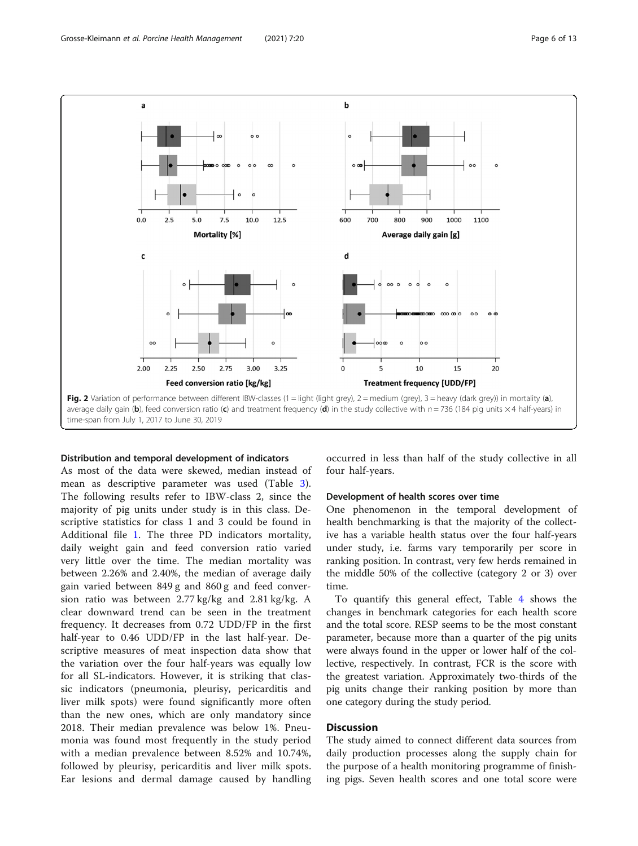<span id="page-5-0"></span>

#### Distribution and temporal development of indicators

As most of the data were skewed, median instead of mean as descriptive parameter was used (Table [3](#page-7-0)). The following results refer to IBW-class 2, since the majority of pig units under study is in this class. Descriptive statistics for class 1 and 3 could be found in Additional file [1](#page-11-0). The three PD indicators mortality, daily weight gain and feed conversion ratio varied very little over the time. The median mortality was between 2.26% and 2.40%, the median of average daily gain varied between 849 g and 860 g and feed conversion ratio was between 2.77 kg/kg and 2.81 kg/kg. A clear downward trend can be seen in the treatment frequency. It decreases from 0.72 UDD/FP in the first half-year to 0.46 UDD/FP in the last half-year. Descriptive measures of meat inspection data show that the variation over the four half-years was equally low for all SL-indicators. However, it is striking that classic indicators (pneumonia, pleurisy, pericarditis and liver milk spots) were found significantly more often than the new ones, which are only mandatory since 2018. Their median prevalence was below 1%. Pneumonia was found most frequently in the study period with a median prevalence between 8.52% and 10.74%, followed by pleurisy, pericarditis and liver milk spots. Ear lesions and dermal damage caused by handling

occurred in less than half of the study collective in all four half-years.

#### Development of health scores over time

One phenomenon in the temporal development of health benchmarking is that the majority of the collective has a variable health status over the four half-years under study, i.e. farms vary temporarily per score in ranking position. In contrast, very few herds remained in the middle 50% of the collective (category 2 or 3) over time.

To quantify this general effect, Table [4](#page-8-0) shows the changes in benchmark categories for each health score and the total score. RESP seems to be the most constant parameter, because more than a quarter of the pig units were always found in the upper or lower half of the collective, respectively. In contrast, FCR is the score with the greatest variation. Approximately two-thirds of the pig units change their ranking position by more than one category during the study period.

# **Discussion**

The study aimed to connect different data sources from daily production processes along the supply chain for the purpose of a health monitoring programme of finishing pigs. Seven health scores and one total score were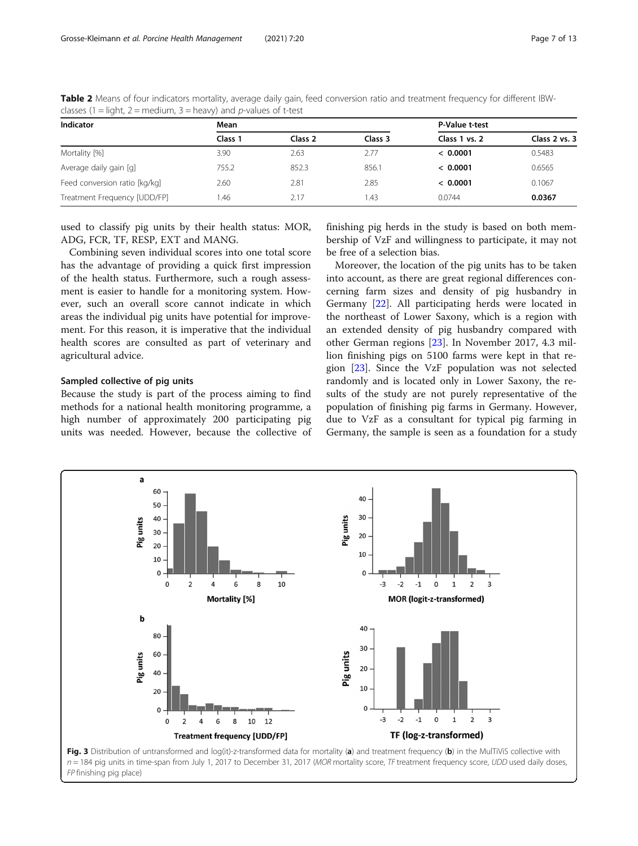| Indicator                     | Mean    |         | P-Value t-test |               |               |  |
|-------------------------------|---------|---------|----------------|---------------|---------------|--|
|                               | Class 1 | Class 2 | Class 3        | Class 1 vs. 2 | Class 2 vs. 3 |  |
| Mortality [%]                 | 3.90    | 2.63    | 2.77           | < 0.0001      | 0.5483        |  |
| Average daily gain [g]        | 755.2   | 852.3   | 856.1          | < 0.0001      | 0.6565        |  |
| Feed conversion ratio [kg/kg] | 2.60    | 2.81    | 2.85           | < 0.0001      | 0.1067        |  |
| Treatment Frequency [UDD/FP]  | .46     | 2.17    | 1.43           | 0.0744        | 0.0367        |  |

<span id="page-6-0"></span>Table 2 Means of four indicators mortality, average daily gain, feed conversion ratio and treatment frequency for different IBWclasses (1 = light, 2 = medium, 3 = heavy) and p-values of t-test

used to classify pig units by their health status: MOR, ADG, FCR, TF, RESP, EXT and MANG.

Combining seven individual scores into one total score has the advantage of providing a quick first impression of the health status. Furthermore, such a rough assessment is easier to handle for a monitoring system. However, such an overall score cannot indicate in which areas the individual pig units have potential for improvement. For this reason, it is imperative that the individual health scores are consulted as part of veterinary and agricultural advice.

#### Sampled collective of pig units

Because the study is part of the process aiming to find methods for a national health monitoring programme, a high number of approximately 200 participating pig units was needed. However, because the collective of

finishing pig herds in the study is based on both membership of VzF and willingness to participate, it may not be free of a selection bias.

Moreover, the location of the pig units has to be taken into account, as there are great regional differences concerning farm sizes and density of pig husbandry in Germany [[22\]](#page-12-0). All participating herds were located in the northeast of Lower Saxony, which is a region with an extended density of pig husbandry compared with other German regions [\[23](#page-12-0)]. In November 2017, 4.3 million finishing pigs on 5100 farms were kept in that region [[23\]](#page-12-0). Since the VzF population was not selected randomly and is located only in Lower Saxony, the results of the study are not purely representative of the population of finishing pig farms in Germany. However, due to VzF as a consultant for typical pig farming in Germany, the sample is seen as a foundation for a study

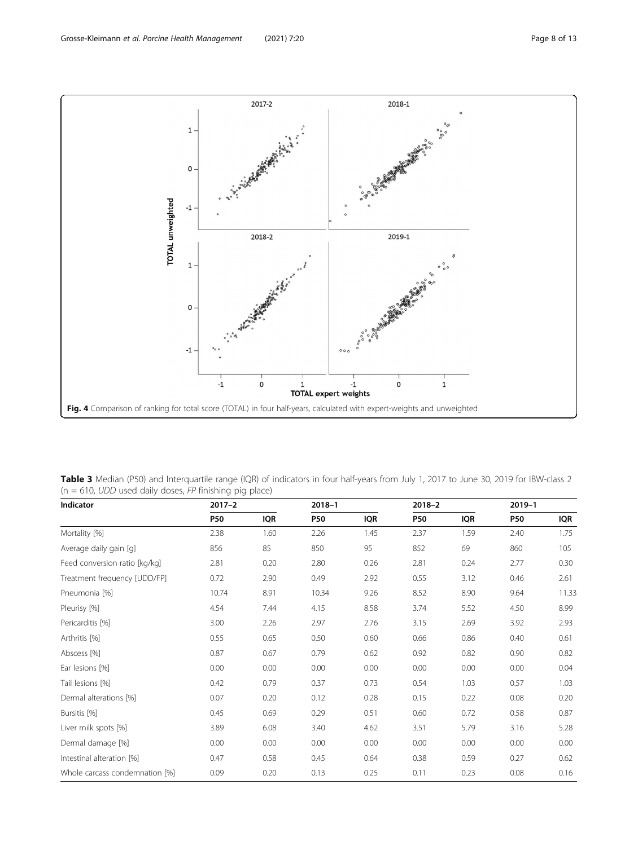<span id="page-7-0"></span>

Table 3 Median (P50) and Interquartile range (IQR) of indicators in four half-years from July 1, 2017 to June 30, 2019 for IBW-class 2  $(n = 610, UDD$  used daily doses, FP finishing pig place)

| Indicator                      | $2017 - 2$ |            | $2018 - 1$ |            |            |      | $2019 - 1$ |            |
|--------------------------------|------------|------------|------------|------------|------------|------|------------|------------|
|                                | <b>P50</b> | <b>IQR</b> | <b>P50</b> | <b>IQR</b> | <b>P50</b> | IQR  | <b>P50</b> | <b>IQR</b> |
| Mortality [%]                  | 2.38       | 1.60       | 2.26       | 1.45       | 2.37       | 1.59 | 2.40       | 1.75       |
| Average daily gain [g]         | 856        | 85         | 850        | 95         | 852        | 69   | 860        | 105        |
| Feed conversion ratio [kg/kg]  | 2.81       | 0.20       | 2.80       | 0.26       | 2.81       | 0.24 | 2.77       | 0.30       |
| Treatment frequency [UDD/FP]   | 0.72       | 2.90       | 0.49       | 2.92       | 0.55       | 3.12 | 0.46       | 2.61       |
| Pneumonia [%]                  | 10.74      | 8.91       | 10.34      | 9.26       | 8.52       | 8.90 | 9.64       | 11.33      |
| Pleurisy [%]                   | 4.54       | 7.44       | 4.15       | 8.58       | 3.74       | 5.52 | 4.50       | 8.99       |
| Pericarditis [%]               | 3.00       | 2.26       | 2.97       | 2.76       | 3.15       | 2.69 | 3.92       | 2.93       |
| Arthritis [%]                  | 0.55       | 0.65       | 0.50       | 0.60       | 0.66       | 0.86 | 0.40       | 0.61       |
| Abscess [%]                    | 0.87       | 0.67       | 0.79       | 0.62       | 0.92       | 0.82 | 0.90       | 0.82       |
| Ear lesions [%]                | 0.00       | 0.00       | 0.00       | 0.00       | 0.00       | 0.00 | 0.00       | 0.04       |
| Tail lesions [%]               | 0.42       | 0.79       | 0.37       | 0.73       | 0.54       | 1.03 | 0.57       | 1.03       |
| Dermal alterations [%]         | 0.07       | 0.20       | 0.12       | 0.28       | 0.15       | 0.22 | 0.08       | 0.20       |
| Bursitis [%]                   | 0.45       | 0.69       | 0.29       | 0.51       | 0.60       | 0.72 | 0.58       | 0.87       |
| Liver milk spots [%]           | 3.89       | 6.08       | 3.40       | 4.62       | 3.51       | 5.79 | 3.16       | 5.28       |
| Dermal damage [%]              | 0.00       | 0.00       | 0.00       | 0.00       | 0.00       | 0.00 | 0.00       | 0.00       |
| Intestinal alteration [%]      | 0.47       | 0.58       | 0.45       | 0.64       | 0.38       | 0.59 | 0.27       | 0.62       |
| Whole carcass condemnation [%] | 0.09       | 0.20       | 0.13       | 0.25       | 0.11       | 0.23 | 0.08       | 0.16       |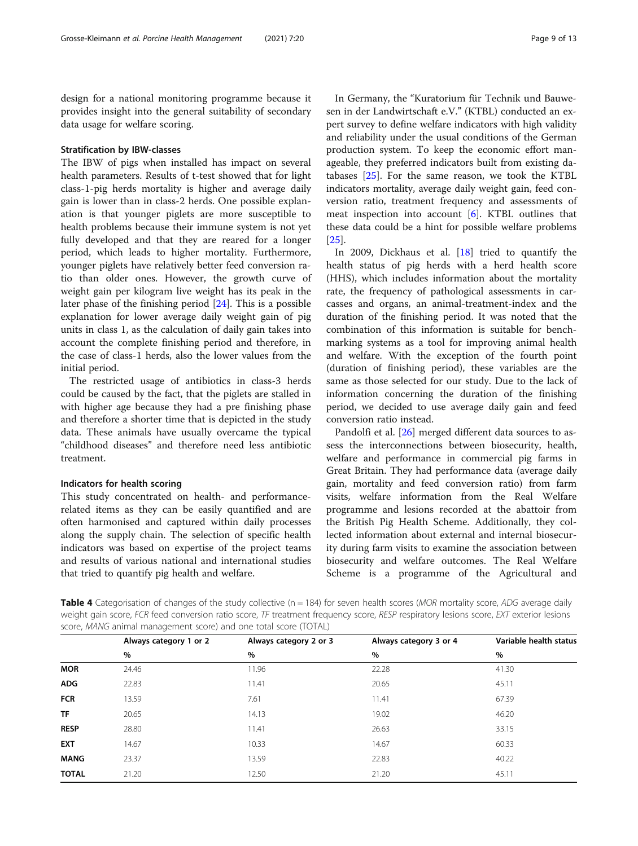<span id="page-8-0"></span>design for a national monitoring programme because it provides insight into the general suitability of secondary data usage for welfare scoring.

# Stratification by IBW-classes

The IBW of pigs when installed has impact on several health parameters. Results of t-test showed that for light class-1-pig herds mortality is higher and average daily gain is lower than in class-2 herds. One possible explanation is that younger piglets are more susceptible to health problems because their immune system is not yet fully developed and that they are reared for a longer period, which leads to higher mortality. Furthermore, younger piglets have relatively better feed conversion ratio than older ones. However, the growth curve of weight gain per kilogram live weight has its peak in the later phase of the finishing period [[24\]](#page-12-0). This is a possible explanation for lower average daily weight gain of pig units in class 1, as the calculation of daily gain takes into account the complete finishing period and therefore, in the case of class-1 herds, also the lower values from the initial period.

The restricted usage of antibiotics in class-3 herds could be caused by the fact, that the piglets are stalled in with higher age because they had a pre finishing phase and therefore a shorter time that is depicted in the study data. These animals have usually overcame the typical "childhood diseases" and therefore need less antibiotic treatment.

# Indicators for health scoring

This study concentrated on health- and performancerelated items as they can be easily quantified and are often harmonised and captured within daily processes along the supply chain. The selection of specific health indicators was based on expertise of the project teams and results of various national and international studies that tried to quantify pig health and welfare.

In Germany, the "Kuratorium für Technik und Bauwesen in der Landwirtschaft e.V." (KTBL) conducted an expert survey to define welfare indicators with high validity and reliability under the usual conditions of the German production system. To keep the economic effort manageable, they preferred indicators built from existing databases  $[25]$  $[25]$ . For the same reason, we took the KTBL indicators mortality, average daily weight gain, feed conversion ratio, treatment frequency and assessments of meat inspection into account [[6\]](#page-11-0). KTBL outlines that these data could be a hint for possible welfare problems [[25\]](#page-12-0).

In 2009, Dickhaus et al. [\[18](#page-12-0)] tried to quantify the health status of pig herds with a herd health score (HHS), which includes information about the mortality rate, the frequency of pathological assessments in carcasses and organs, an animal-treatment-index and the duration of the finishing period. It was noted that the combination of this information is suitable for benchmarking systems as a tool for improving animal health and welfare. With the exception of the fourth point (duration of finishing period), these variables are the same as those selected for our study. Due to the lack of information concerning the duration of the finishing period, we decided to use average daily gain and feed conversion ratio instead.

Pandolfi et al. [\[26\]](#page-12-0) merged different data sources to assess the interconnections between biosecurity, health, welfare and performance in commercial pig farms in Great Britain. They had performance data (average daily gain, mortality and feed conversion ratio) from farm visits, welfare information from the Real Welfare programme and lesions recorded at the abattoir from the British Pig Health Scheme. Additionally, they collected information about external and internal biosecurity during farm visits to examine the association between biosecurity and welfare outcomes. The Real Welfare Scheme is a programme of the Agricultural and

**Table 4** Categorisation of changes of the study collective  $(n = 184)$  for seven health scores (*MOR* mortality score, *ADG* average daily weight gain score, FCR feed conversion ratio score, TF treatment frequency score, RESP respiratory lesions score, EXT exterior lesions score, MANG animal management score) and one total score (TOTAL)

|              | Always category 1 or 2 | Always category 2 or 3 | Always category 3 or 4 | Variable health status |  |
|--------------|------------------------|------------------------|------------------------|------------------------|--|
|              | %                      | $\%$                   | $\%$                   | $\%$                   |  |
| <b>MOR</b>   | 24.46                  | 11.96                  | 22.28                  | 41.30                  |  |
| <b>ADG</b>   | 22.83                  | 11.41                  | 20.65                  | 45.11                  |  |
| <b>FCR</b>   | 13.59                  | 7.61                   | 11.41                  | 67.39                  |  |
| <b>TF</b>    | 20.65                  | 14.13                  | 19.02                  | 46.20                  |  |
| <b>RESP</b>  | 28.80                  | 11.41                  | 26.63                  | 33.15                  |  |
| <b>EXT</b>   | 14.67                  | 10.33                  | 14.67                  | 60.33                  |  |
| <b>MANG</b>  | 23.37                  | 13.59                  | 22.83                  | 40.22                  |  |
| <b>TOTAL</b> | 21.20                  | 12.50                  | 21.20                  | 45.11                  |  |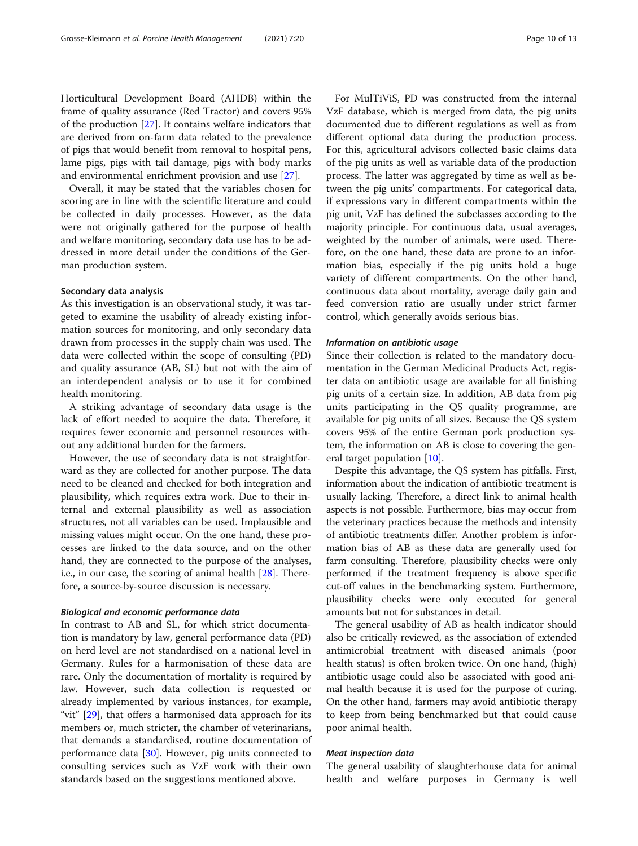Horticultural Development Board (AHDB) within the frame of quality assurance (Red Tractor) and covers 95% of the production [[27\]](#page-12-0). It contains welfare indicators that are derived from on-farm data related to the prevalence of pigs that would benefit from removal to hospital pens, lame pigs, pigs with tail damage, pigs with body marks and environmental enrichment provision and use [\[27\]](#page-12-0).

Overall, it may be stated that the variables chosen for scoring are in line with the scientific literature and could be collected in daily processes. However, as the data were not originally gathered for the purpose of health and welfare monitoring, secondary data use has to be addressed in more detail under the conditions of the German production system.

# Secondary data analysis

As this investigation is an observational study, it was targeted to examine the usability of already existing information sources for monitoring, and only secondary data drawn from processes in the supply chain was used. The data were collected within the scope of consulting (PD) and quality assurance (AB, SL) but not with the aim of an interdependent analysis or to use it for combined health monitoring.

A striking advantage of secondary data usage is the lack of effort needed to acquire the data. Therefore, it requires fewer economic and personnel resources without any additional burden for the farmers.

However, the use of secondary data is not straightforward as they are collected for another purpose. The data need to be cleaned and checked for both integration and plausibility, which requires extra work. Due to their internal and external plausibility as well as association structures, not all variables can be used. Implausible and missing values might occur. On the one hand, these processes are linked to the data source, and on the other hand, they are connected to the purpose of the analyses, i.e., in our case, the scoring of animal health [[28](#page-12-0)]. Therefore, a source-by-source discussion is necessary.

#### Biological and economic performance data

In contrast to AB and SL, for which strict documentation is mandatory by law, general performance data (PD) on herd level are not standardised on a national level in Germany. Rules for a harmonisation of these data are rare. Only the documentation of mortality is required by law. However, such data collection is requested or already implemented by various instances, for example, "vit"  $[29]$  $[29]$  $[29]$ , that offers a harmonised data approach for its members or, much stricter, the chamber of veterinarians, that demands a standardised, routine documentation of performance data [[30\]](#page-12-0). However, pig units connected to consulting services such as VzF work with their own standards based on the suggestions mentioned above.

For MulTiViS, PD was constructed from the internal VzF database, which is merged from data, the pig units documented due to different regulations as well as from different optional data during the production process. For this, agricultural advisors collected basic claims data of the pig units as well as variable data of the production process. The latter was aggregated by time as well as between the pig units' compartments. For categorical data, if expressions vary in different compartments within the pig unit, VzF has defined the subclasses according to the majority principle. For continuous data, usual averages, weighted by the number of animals, were used. Therefore, on the one hand, these data are prone to an information bias, especially if the pig units hold a huge variety of different compartments. On the other hand, continuous data about mortality, average daily gain and feed conversion ratio are usually under strict farmer control, which generally avoids serious bias.

#### Information on antibiotic usage

Since their collection is related to the mandatory documentation in the German Medicinal Products Act, register data on antibiotic usage are available for all finishing pig units of a certain size. In addition, AB data from pig units participating in the QS quality programme, are available for pig units of all sizes. Because the QS system covers 95% of the entire German pork production system, the information on AB is close to covering the general target population [\[10](#page-11-0)].

Despite this advantage, the QS system has pitfalls. First, information about the indication of antibiotic treatment is usually lacking. Therefore, a direct link to animal health aspects is not possible. Furthermore, bias may occur from the veterinary practices because the methods and intensity of antibiotic treatments differ. Another problem is information bias of AB as these data are generally used for farm consulting. Therefore, plausibility checks were only performed if the treatment frequency is above specific cut-off values in the benchmarking system. Furthermore, plausibility checks were only executed for general amounts but not for substances in detail.

The general usability of AB as health indicator should also be critically reviewed, as the association of extended antimicrobial treatment with diseased animals (poor health status) is often broken twice. On one hand, (high) antibiotic usage could also be associated with good animal health because it is used for the purpose of curing. On the other hand, farmers may avoid antibiotic therapy to keep from being benchmarked but that could cause poor animal health.

# Meat inspection data

The general usability of slaughterhouse data for animal health and welfare purposes in Germany is well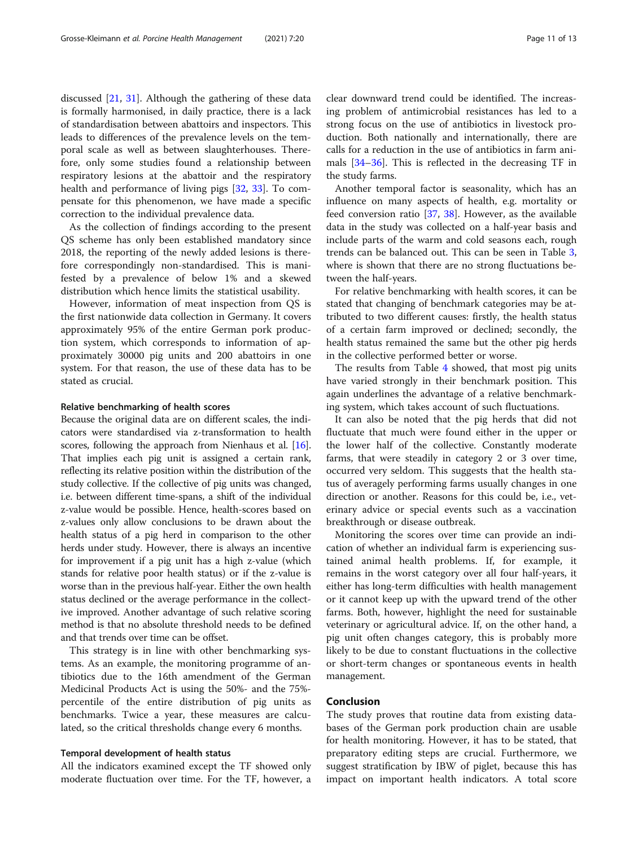discussed [[21,](#page-12-0) [31](#page-12-0)]. Although the gathering of these data is formally harmonised, in daily practice, there is a lack of standardisation between abattoirs and inspectors. This leads to differences of the prevalence levels on the temporal scale as well as between slaughterhouses. Therefore, only some studies found a relationship between respiratory lesions at the abattoir and the respiratory health and performance of living pigs [[32,](#page-12-0) [33](#page-12-0)]. To compensate for this phenomenon, we have made a specific correction to the individual prevalence data.

As the collection of findings according to the present QS scheme has only been established mandatory since 2018, the reporting of the newly added lesions is therefore correspondingly non-standardised. This is manifested by a prevalence of below 1% and a skewed distribution which hence limits the statistical usability.

However, information of meat inspection from QS is the first nationwide data collection in Germany. It covers approximately 95% of the entire German pork production system, which corresponds to information of approximately 30000 pig units and 200 abattoirs in one system. For that reason, the use of these data has to be stated as crucial.

#### Relative benchmarking of health scores

Because the original data are on different scales, the indicators were standardised via z-transformation to health scores, following the approach from Nienhaus et al. [[16](#page-12-0)]. That implies each pig unit is assigned a certain rank, reflecting its relative position within the distribution of the study collective. If the collective of pig units was changed, i.e. between different time-spans, a shift of the individual z-value would be possible. Hence, health-scores based on z-values only allow conclusions to be drawn about the health status of a pig herd in comparison to the other herds under study. However, there is always an incentive for improvement if a pig unit has a high z-value (which stands for relative poor health status) or if the z-value is worse than in the previous half-year. Either the own health status declined or the average performance in the collective improved. Another advantage of such relative scoring method is that no absolute threshold needs to be defined and that trends over time can be offset.

This strategy is in line with other benchmarking systems. As an example, the monitoring programme of antibiotics due to the 16th amendment of the German Medicinal Products Act is using the 50%- and the 75% percentile of the entire distribution of pig units as benchmarks. Twice a year, these measures are calculated, so the critical thresholds change every 6 months.

#### Temporal development of health status

All the indicators examined except the TF showed only moderate fluctuation over time. For the TF, however, a

clear downward trend could be identified. The increasing problem of antimicrobial resistances has led to a strong focus on the use of antibiotics in livestock production. Both nationally and internationally, there are calls for a reduction in the use of antibiotics in farm animals [\[34](#page-12-0)–[36\]](#page-12-0). This is reflected in the decreasing TF in the study farms.

Another temporal factor is seasonality, which has an influence on many aspects of health, e.g. mortality or feed conversion ratio [[37,](#page-12-0) [38](#page-12-0)]. However, as the available data in the study was collected on a half-year basis and include parts of the warm and cold seasons each, rough trends can be balanced out. This can be seen in Table [3](#page-7-0), where is shown that there are no strong fluctuations between the half-years.

For relative benchmarking with health scores, it can be stated that changing of benchmark categories may be attributed to two different causes: firstly, the health status of a certain farm improved or declined; secondly, the health status remained the same but the other pig herds in the collective performed better or worse.

The results from Table [4](#page-8-0) showed, that most pig units have varied strongly in their benchmark position. This again underlines the advantage of a relative benchmarking system, which takes account of such fluctuations.

It can also be noted that the pig herds that did not fluctuate that much were found either in the upper or the lower half of the collective. Constantly moderate farms, that were steadily in category 2 or 3 over time, occurred very seldom. This suggests that the health status of averagely performing farms usually changes in one direction or another. Reasons for this could be, i.e., veterinary advice or special events such as a vaccination breakthrough or disease outbreak.

Monitoring the scores over time can provide an indication of whether an individual farm is experiencing sustained animal health problems. If, for example, it remains in the worst category over all four half-years, it either has long-term difficulties with health management or it cannot keep up with the upward trend of the other farms. Both, however, highlight the need for sustainable veterinary or agricultural advice. If, on the other hand, a pig unit often changes category, this is probably more likely to be due to constant fluctuations in the collective or short-term changes or spontaneous events in health management.

# Conclusion

The study proves that routine data from existing databases of the German pork production chain are usable for health monitoring. However, it has to be stated, that preparatory editing steps are crucial. Furthermore, we suggest stratification by IBW of piglet, because this has impact on important health indicators. A total score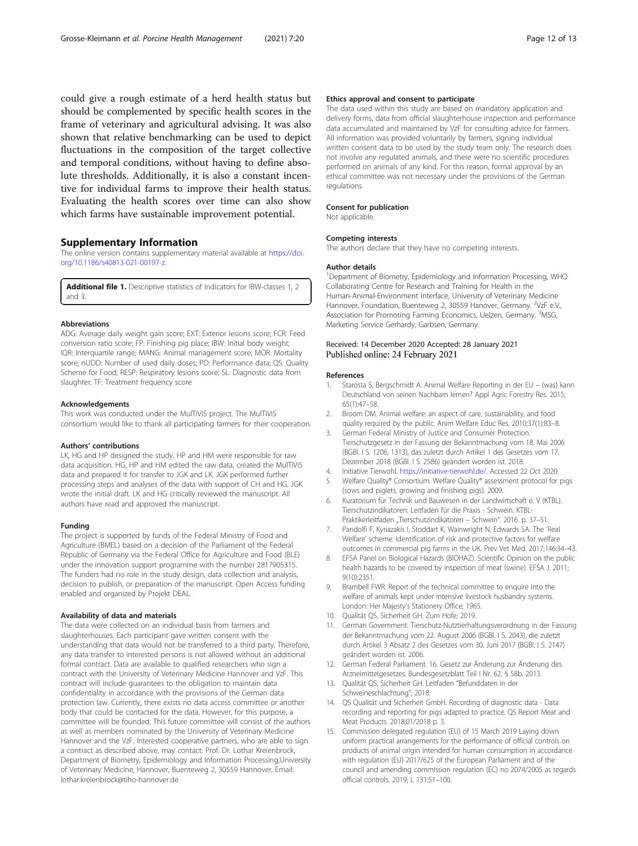<span id="page-11-0"></span>could give a rough estimate of a herd health status but should be complemented by specific health scores in the frame of veterinary and agricultural advising. It was also shown that relative benchmarking can be used to depict fluctuations in the composition of the target collective and temporal conditions, without having to define absolute thresholds. Additionally, it is also a constant incentive for individual farms to improve their health status. Evaluating the health scores over time can also show which farms have sustainable improvement potential.

#### Supplementary Information

The online version contains supplementary material available at [https://doi.](https://doi.org/10.1186/s40813-021-00197-z) [org/10.1186/s40813-021-00197-z.](https://doi.org/10.1186/s40813-021-00197-z)

Additional file 1. Descriptive statistics of indicators for IBW-classes 1, 2 and 3.

#### Abbreviations

ADG: Average daily weight gain score; EXT: Exterior lesions score; FCR: Feed conversion ratio score; FP: Finishing pig place; IBW: Initial body weight; IQR: Interquartile range; MANG: Animal management score; MOR: Mortality score; nUDD: Number of used daily doses; PD: Performance data; QS: Quality Scheme for Food; RESP: Respiratory lesions score; SL: Diagnostic data from slaughter; TF: Treatment frequency score

#### Acknowledgements

This work was conducted under the MulTiViS project. The MulTiViS consortium would like to thank all participating farmers for their cooperation.

#### Authors' contributions

LK, HG and HP designed the study. HP and HM were responsible for raw data acquisition. HG, HP and HM edited the raw data, created the MulTiViS data and prepared it for transfer to JGK and LK. JGK performed further processing steps and analyses of the data with support of CH and HG. JGK wrote the initial draft. LK and HG critically reviewed the manuscript. All authors have read and approved the manuscript.

#### Funding

The project is supported by funds of the Federal Ministry of Food and Agriculture (BMEL) based on a decision of the Parliament of the Federal Republic of Germany via the Federal Office for Agriculture and Food (BLE) under the innovation support programme with the number 2817905315. The funders had no role in the study design, data collection and analysis, decision to publish, or preparation of the manuscript. Open Access funding enabled and organized by Projekt DEAL.

#### Availability of data and materials

The data were collected on an individual basis from farmers and slaughterhouses. Each participant gave written consent with the understanding that data would not be transferred to a third party. Therefore, any data transfer to interested persons is not allowed without an additional formal contract. Data are available to qualified researchers who sign a contract with the University of Veterinary Medicine Hannover and VzF. This contract will include guarantees to the obligation to maintain data confidentiality in accordance with the provisions of the German data protection law. Currently, there exists no data access committee or another body that could be contacted for the data. However, for this purpose, a committee will be founded. This future committee will consist of the authors as well as members nominated by the University of Veterinary Medicine Hannover and the VzF. Interested cooperative partners, who are able to sign a contract as described above, may contact: Prof. Dr. Lothar Kreienbrock, Department of Biometry, Epidemiology and Information Processing,University of Veterinary Medicine, Hannover, Buenteweg 2, 30559 Hannover, Email: lothar.kreienbrock@tiho-hannover.de

#### Ethics approval and consent to participate

The data used within this study are based on mandatory application and delivery forms, data from official slaughterhouse inspection and performance data accumulated and maintained by VzF for consulting advice for farmers. All information was provided voluntarily by farmers, signing individual written consent data to be used by the study team only. The research does not involve any regulated animals, and there were no scientific procedures performed on animals of any kind. For this reason, formal approval by an ethical committee was not necessary under the provisions of the German regulations.

#### Consent for publication

Not applicable.

#### Competing interests

The authors declare that they have no competing interests.

#### Author details

<sup>1</sup>Department of Biometry, Epidemiology and Information Processing, WHO Collaborating Centre for Research and Training for Health in the Human-Animal-Environment Interface, University of Veterinary Medicine Hannover, Foundation, Buenteweg 2, 30559 Hanover, Germany. <sup>2</sup>VzF e.V. Association for Promoting Farming Economics, Uelzen, Germany. <sup>3</sup>MSG Marketing Service Gerhardy, Garbsen, Germany.

#### Received: 14 December 2020 Accepted: 28 January 2021 Published online: 24 February 2021

#### References

- 1. Starosta S, Bergschmidt A. Animal Welfare Reporting in der EU (was) kann Deutschland von seinen Nachbarn lernen? Appl Agric Forestry Res. 2015; 65(1):47–58.
- 2. Broom DM. Animal welfare: an aspect of care, sustainability, and food quality required by the public. Anim Welfare Educ Res. 2010;37(1):83–8.
- 3. German Federal Ministry of Justice and Consumer Protection. Tierschutzgesetz in der Fassung der Bekanntmachung vom 18. Mai 2006 (BGBl. I S. 1206, 1313), das zuletzt durch Artikel 1 des Gesetzes vom 17. Dezember 2018 (BGBl. I S. 2586) geändert worden ist. 2018.
- 4. Initiative Tierwohl. <https://initiative-tierwohl.de/>. Accessed 22 Oct 2020.
- 5. Welfare Quality® Consortium. Welfare Quality® assessment protocol for pigs (sows and piglets, growing and finishing pigs). 2009.
- 6. Kuratorium für Technik und Bauwesen in der Landwirtschaft e. V (KTBL). Tierschutzindikatoren: Leitfaden für die Praxis - Schwein. KTBL-Praktikerleitfaden "Tierschutzindikatoren – Schwein". 2016. p. 37–51.
- 7. Pandolfi F, Kyriazakis I, Stoddart K, Wainwright N, Edwards SA. The 'Real Welfare' scheme: identification of risk and protective factors for welfare outcomes in commercial pig farms in the UK. Prev Vet Med. 2017;146:34–43.
- 8. EFSA Panel on Biological Hazards (BIOHAZ). Scientific Opinion on the public health hazards to be covered by inspection of meat (swine). EFSA J. 2011; 9(10):2351.
- Brambell FWR. Report of the technical committee to enquire into the welfare of animals kept under intensive livestock husbandry systems. London: Her Majesty's Stationery Office; 1965.
- 10. Qualität QS, Sicherheit GH. Zum Hofe; 2019.
- 11. German Government. Tierschutz-Nutztierhaltungsverordnung in der Fassung der Bekanntmachung vom 22. August 2006 (BGBl. I S. 2043), die zuletzt durch Artikel 3 Absatz 2 des Gesetzes vom 30. Juni 2017 (BGBl. I S. 2147) geändert worden ist. 2006.
- 12. German Federal Parliament. 16. Gesetz zur Änderung zur Änderung des Arzneimittelgesetzes. Bundesgesetzblatt Teil I Nr. 62. § 58b. 2013.
- 13. Qualität QS, Sicherheit GH. Leitfaden "Befunddaten in der Schweineschlachtung"; 2018.
- 14. QS Qualität und Sicherheit GmbH. Recording of diagnostic data Data recording and reporting for pigs adapted to practice. QS Report Meat and Meat Products. 2018;01/2018 p. 3.
- 15. Commission delegated regulation (EU) of 15 March 2019 Laying down uniform practical arrangements for the performance of official controls on products of animal origin intended for human consumption in accordance with regulation (EU) 2017/625 of the European Parliament and of the council and amending commission regulation (EC) no 2074/2005 as regards official controls. 2019; L 131:51–100.